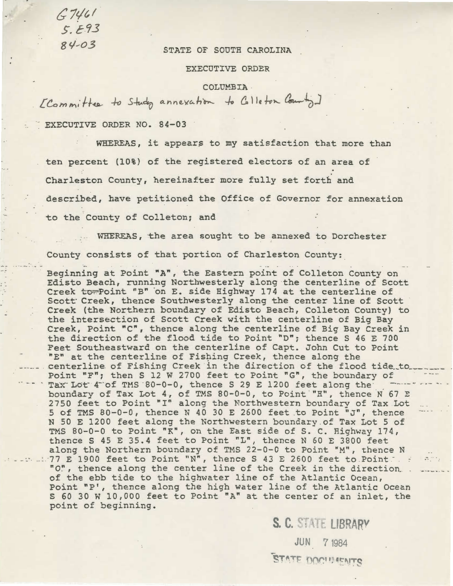*C 1'/t* <sup>I</sup>  $5. E.93$ 

## 84-03 STATE OF SOUTH CAROLINA

## EXECUTIVE ORDER

COLUMBIA

 $LCommif$ tee to Study annexation to Colleton County]

EXECUTIVE ORDER NO. 84-03

WHEREAS, it appears to my satisfaction that more than ten percent (10%) of the registered electors of an area of Charleston County, hereinafter more fully set forth and described, have petitioned the Office of Governor for annexation to the County of Colleton; and

WHEREAS, the area sought to be annexed to Dorchester County consists of that portion of Charleston County: \_

Beginning at Point "A", the Eastern point of Colleton County on Edisto Beach, running Northwesterly along the centerline of Scott Creek to Point "B" on E. side Highway 174 at the centerline of Scott Creek, thence Southwesterly along the center line of Scott Creek (the Northern boundary of Edisto Beach, Colleton County) to the intersection of Scott Creek with the centerline of Big Bay Creek, Point "C", thence along the centerline of Big Bay Creek in the direction of the flood tide to Point "D"; thence S 46 E 700 Feet Southeastward on the centerline of Capt. John Cut to Point  $"E"$  at the centerline of Fishing Creek, thence along the centerline of Fishing Creek in the direction of the flood tide to Point "F"; then S 12 W 2700 feet to Point "G", the boundary of Tax Lot  $4^-$  of TMS  $80-0-0$ , thence S 29 E 1200 feet along the boundary of Tax Lot 4, of TMS 80-0-0, to Point "H", thence N 67 E 2750 feet to Point "I" along the Northwestern boundary of Tax Lot 5 of TMS 80-0-0, thence N 40 30 E 2600 feet .to Point "J", thence N 50 E 1200 feet along the Northwestern boundary . of Tax Lot 5 of TMS 80-0-0 to Point "K", on the East side of S.C. Highway 174, thence S 45 E 35.4 feet to Point "L", thence N 60 E 3800 feet along the Northern boundary of TMS 22-0-0 to Point "M", thence N  $\therefore$  ...... 77 E 1900 feet to Point "N", thence S 43 E 2600 feet to Point  $\therefore$  ... "0", thence along the center line of the Creek in the direction ...<br>of the ebb tide to the highwater line of the Atlantic Ocean, Point "P', thence along the high water line of the Atlantic Ocean S 60 30 W 10,000 feet to Point "A" at the center of an inlet, the point of beginning.

> S. C. STATE LIBRARY JUN 7 1984 STATE DOCUMENTS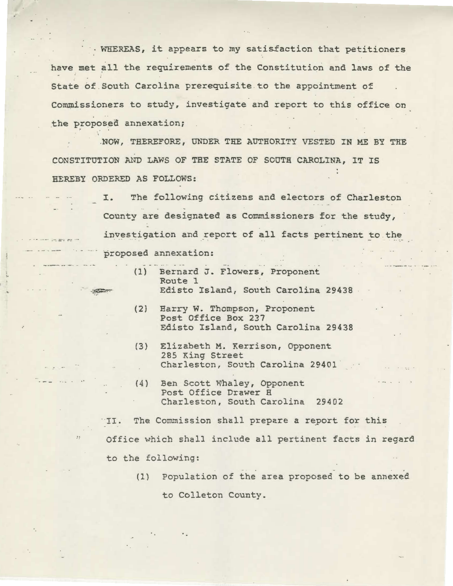$·$  WHEREAS, it appears to my satisfaction that petitioners have met all the requirements of the Constitution and laws of the State of . South Carolina prerequisite to the appointment of Commissioners to study, investigate and report to this office on the proposed annexation;

.NOW, THEREFORE, UNDER THE AUTHORITY VESTED IN ME BY THE CONSTITUTION AND LAWS OF THE STATE OF SOUTH CAROLINA, IT IS HEREBY ORDERED AS FOLLOWS:

> I. The following citizens and electors of Charleston County are designated as Commissioners for the study, investigation and report of all facts pertinent to the proposed annexation:

- (1) Bernard J. Flowers, Proponent Route 1 Edisto Island, South Carolina 29438
- (2) Harry W. Thompson, Proponent Post Office Box 237 Edisto Island, South Carolina 29438
- (3) Elizabeth M. Kerrison, Opponent 285 King Street Charleston, South Carolina 29401
- (4} Ben Scott Whaley, Opponent Post Office Drawer H Charleston, South Carolina 29402

,.

"II. The Commission shall prepare a report for this Office which shall include all pertinent facts in regard to the following:

> (1) Population of the area proposed to be annexed to Colleton County.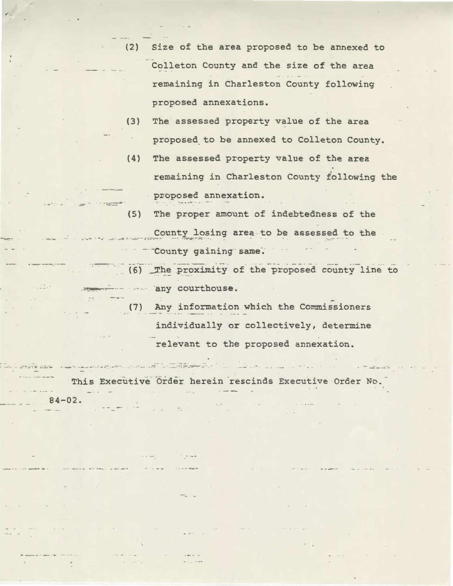- (2) Size of the area proposed to be annexed to Colleton County and the size of the area remaining in Charleston County following proposed annexations.
- (3) The assessed property value of the area proposed. to be annexed to Colleton County.
- (4) The assessed property value of the area remaining in Charleston County following the proposed annexation.
- (5) The proper amount of indebtedness of the County losing area to be assessed to the · - County gaining same.
- . ~ -. . . -- --. ··- . . . -- -- (6) \_T~~ p~oximity of the proposed county line to ~----- any courthouse.
	- (7) Any information which the Commissioners individually or collectively, determine relevant to the proposed annexation.

This Executive Order herein rescinds Executive Order No.

- -... -

 $.84 - 02.$ 

- --- - -- -- .: --..::~ *:\_·:,\_ :...* · ·- . •;.\_.- -- --- -· .· .. · . - *.:-:* -· ·-- =--~ ·----·